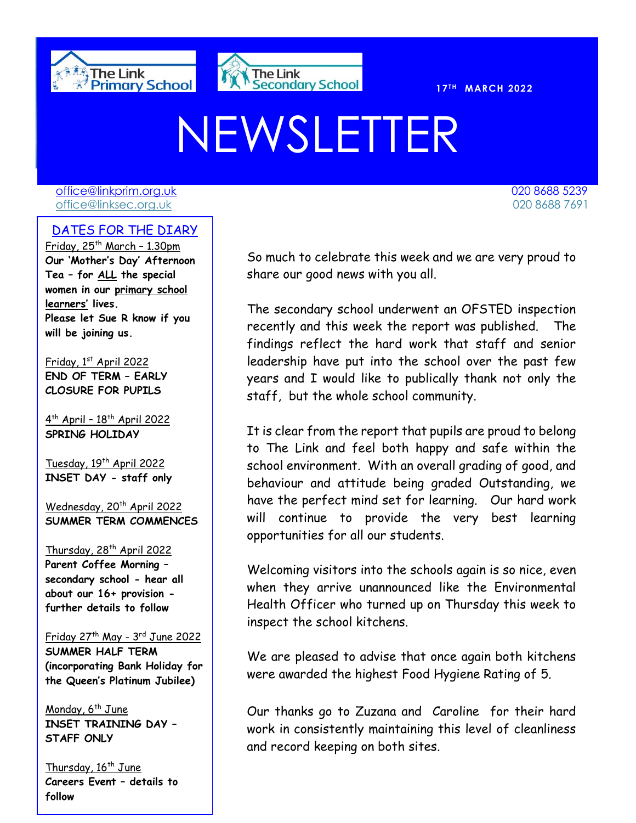



**T H MARCH 2022** 

# NEWSLETTER

[office@linkprim.org.uk](mailto:office@linkprim.org.uk) 020 8688 5239 office@linksec.org.uk 020 8688 7691

#### DATES FOR THE DIARY 020 8688 7691

Friday,  $25<sup>th</sup>$  March - 1.30pm **Our 'Mother's Day' Afternoon Tea – for ALL the special women in our primary school learners' lives. Please let Sue R know if you will be joining us.**

Friday, 1st April 2022 **END OF TERM – EARLY CLOSURE FOR PUPILS**

4<sup>th</sup> April - 18<sup>th</sup> April 2022 **SPRING HOLIDAY**

Tuesday, 19<sup>th</sup> April 2022 **INSET DAY - staff only**

Wednesday, 20<sup>th</sup> April 2022 **SUMMER TERM COMMENCES**

Thursday, 28<sup>th</sup> April 2022 **Parent Coffee Morning – secondary school - hear all about our 16+ provision further details to follow**

Friday 27th May - 3 rd June 2022 **SUMMER HALF TERM (incorporating Bank Holiday for the Queen's Platinum Jubilee)**

Monday,  $6^{th}$  June **INSET TRAINING DAY – STAFF ONLY**

Thursday, 16<sup>th</sup> June **Careers Event – details to follow**

 So much to celebrate this week and we are very proud to share our good news with you all.

The secondary school underwent an OFSTED inspection recently and this week the report was published. The findings reflect the hard work that staff and senior leadership have put into the school over the past few years and I would like to publically thank not only the staff, but the whole school community.

It is clear from the report that pupils are proud to belong to The Link and feel both happy and safe within the school environment. With an overall grading of good, and behaviour and attitude being graded Outstanding, we have the perfect mind set for learning. Our hard work will continue to provide the very best learning opportunities for all our students.

Welcoming visitors into the schools again is so nice, even when they arrive unannounced like the Environmental Health Officer who turned up on Thursday this week to inspect the school kitchens.

We are pleased to advise that once again both kitchens were awarded the highest Food Hygiene Rating of 5.

Our thanks go to Zuzana and Caroline for their hard work in consistently maintaining this level of cleanliness and record keeping on both sites.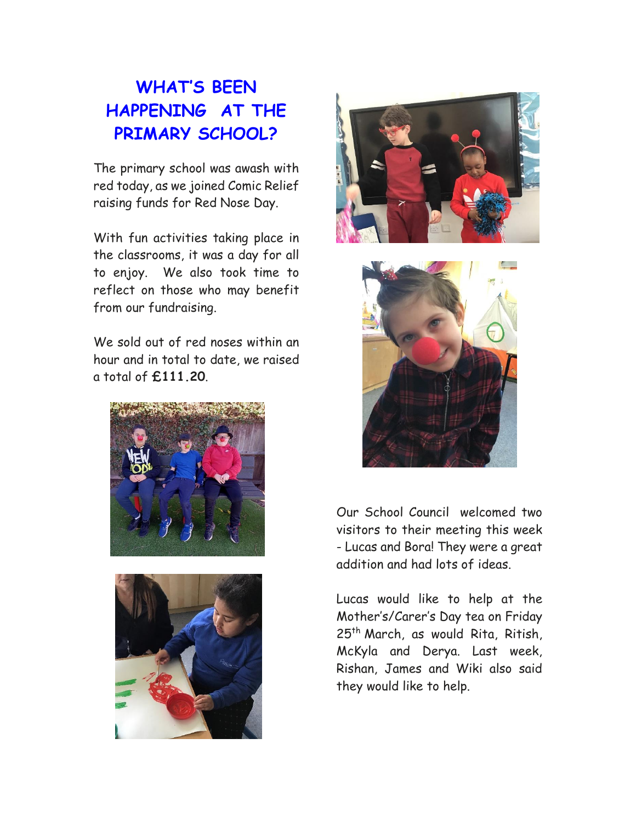## **WHAT'S BEEN HAPPENING AT THE PRIMARY SCHOOL?**

The primary school was awash with red today, as we joined Comic Relief raising funds for Red Nose Day.

With fun activities taking place in the classrooms, it was a day for all to enjoy. We also took time to reflect on those who may benefit from our fundraising.

We sold out of red noses within an hour and in total to date, we raised a total of **£111.20**.









Our School Council welcomed two visitors to their meeting this week - Lucas and Bora! They were a great addition and had lots of ideas.

Lucas would like to help at the Mother's/Carer's Day tea on Friday 25th March, as would Rita, Ritish, McKyla and Derya. Last week, Rishan, James and Wiki also said they would like to help.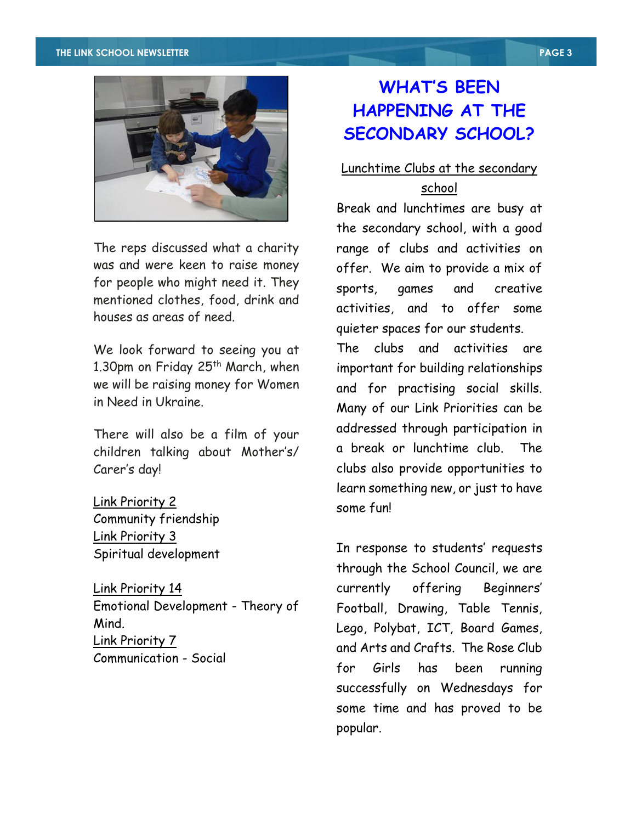#### **THE LINK SCHOOL NEWSLETTER PAGE 3**



The reps discussed what a charity was and were keen to raise money for people who might need it. They mentioned clothes, food, drink and houses as areas of need.

We look forward to seeing you at 1.30pm on Friday 25<sup>th</sup> March, when we will be raising money for Women in Need in Ukraine.

There will also be a film of your children talking about Mother's/ Carer's day!

Link Priority 2 Community friendship Link Priority 3 Spiritual development

Link Priority 14 Emotional Development - Theory of Mind. Link Priority 7 Communication - Social

#### **WHAT'S BEEN HAPPENING AT THE SECONDARY SCHOOL?**

## Lunchtime Clubs at the secondary

#### school

Break and lunchtimes are busy at the secondary school, with a good range of clubs and activities on offer. We aim to provide a mix of sports, games and creative activities, and to offer some quieter spaces for our students.

The clubs and activities are important for building relationships and for practising social skills. Many of our Link Priorities can be addressed through participation in a break or lunchtime club. The clubs also provide opportunities to learn something new, or just to have some fun!

In response to students' requests through the School Council, we are currently offering Beginners' Football, Drawing, Table Tennis, Lego, Polybat, ICT, Board Games, and Arts and Crafts. The Rose Club for Girls has been running successfully on Wednesdays for some time and has proved to be popular.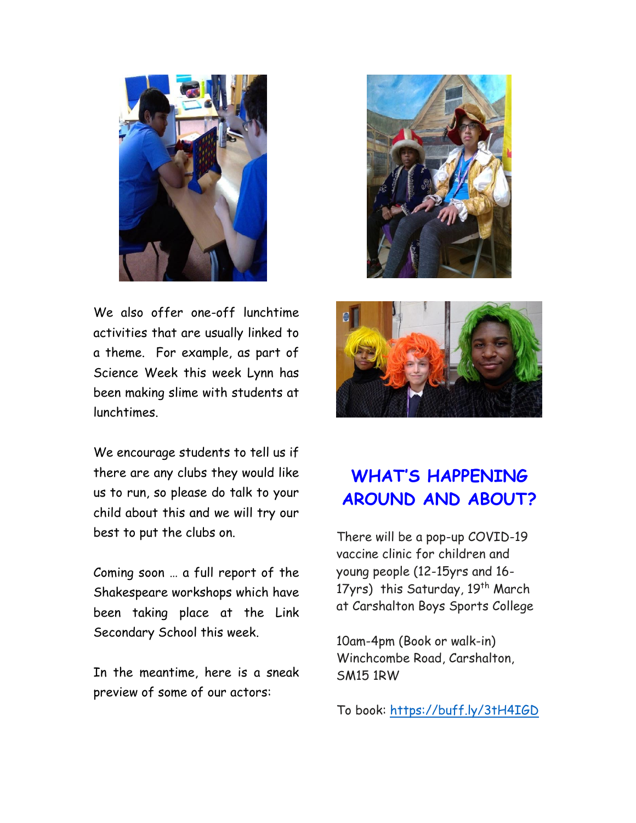

We also offer one-off lunchtime activities that are usually linked to a theme. For example, as part of Science Week this week Lynn has been making slime with students at lunchtimes.

We encourage students to tell us if there are any clubs they would like us to run, so please do talk to your child about this and we will try our best to put the clubs on.

Coming soon … a full report of the Shakespeare workshops which have been taking place at the Link Secondary School this week.

In the meantime, here is a sneak preview of some of our actors:





### **WHAT'S HAPPENING AROUND AND ABOUT?**

There will be a pop-up COVID-19 vaccine clinic for children and young people (12-15yrs and 16- 17yrs) this Saturday, 19<sup>th</sup> March at Carshalton Boys Sports College

10am-4pm (Book or walk-in) Winchcombe Road, Carshalton, SM15 1RW

To book: [https://buff.ly/3tH4IGD](https://scanner.topsec.com/?d=1885&u=https%3A%2F%2Fbuff.ly%2F3tH4IGD&r=show&t=32b4e1b472c8af006a1682b0948a5739df64f4a0)